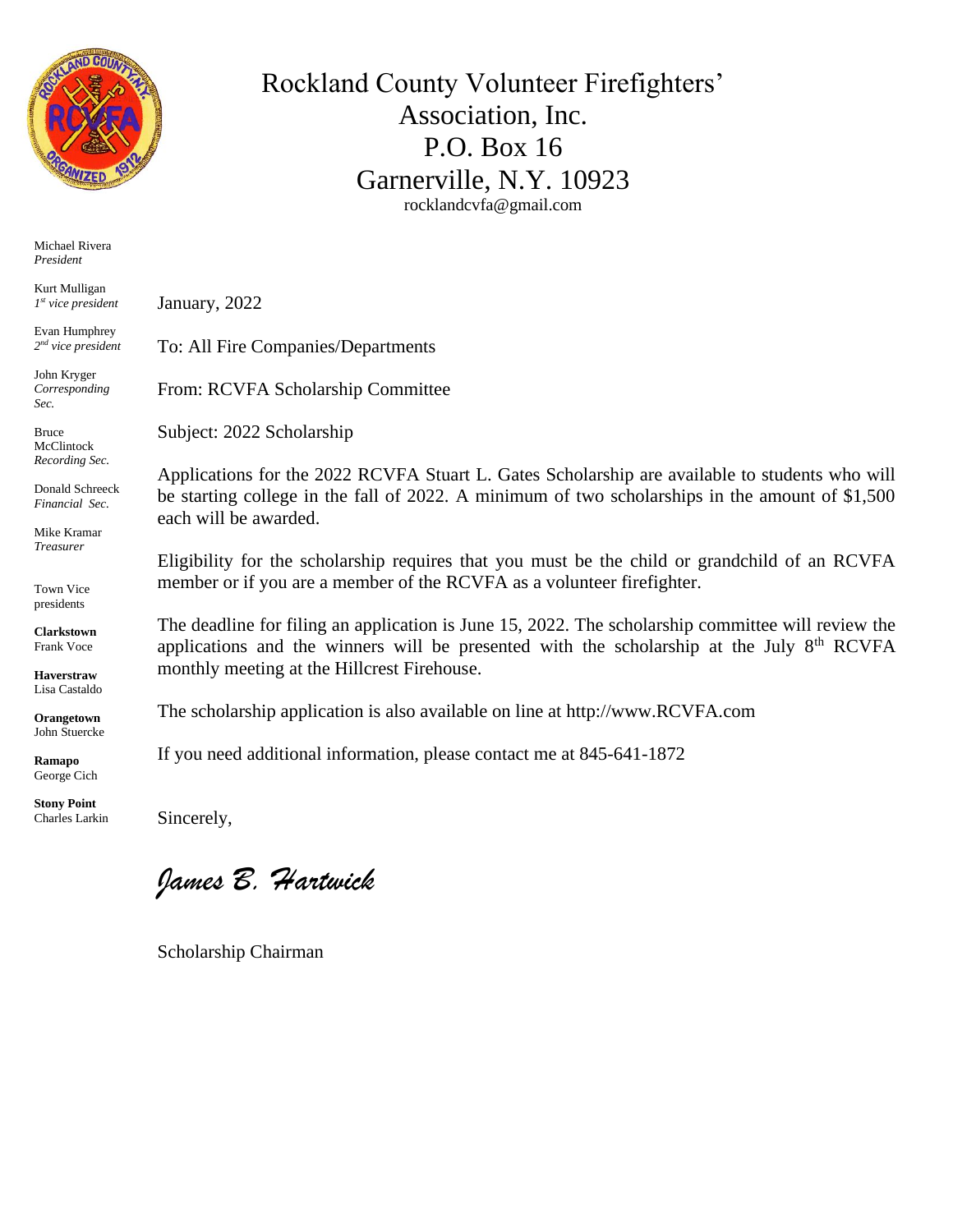

Michael Rivera *President*

Kurt Mulligan *1 st vice president*

Evan Humphrey *2 nd vice president*

John Kryger *Corresponding Sec.*

Bruce McClintock *Recording Sec.*

Donald Schreeck *Financial Sec.*

Mike Kramar *Treasurer*

Town Vice presidents

**Clarkstown** Frank Voce

**Haverstraw** Lisa Castaldo

**Orangetown** John Stuercke

**Ramapo** George Cich

**Stony Point** Charles Larkin January, 2022

To: All Fire Companies/Departments

From: RCVFA Scholarship Committee

Subject: 2022 Scholarship

Applications for the 2022 RCVFA Stuart L. Gates Scholarship are available to students who will be starting college in the fall of 2022. A minimum of two scholarships in the amount of \$1,500 each will be awarded.

Rockland County Volunteer Firefighters'

Association, Inc. P.O. Box 16

Garnerville, N.Y. 10923 rocklandcvfa@gmail.com

Eligibility for the scholarship requires that you must be the child or grandchild of an RCVFA member or if you are a member of the RCVFA as a volunteer firefighter.

The deadline for filing an application is June 15, 2022. The scholarship committee will review the applications and the winners will be presented with the scholarship at the July  $8<sup>th</sup> RCVFA$ monthly meeting at the Hillcrest Firehouse.

The scholarship application is also available on line at http://www.RCVFA.com

If you need additional information, please contact me at 845-641-1872

Sincerely,

*James B. Hartwick*

Scholarship Chairman